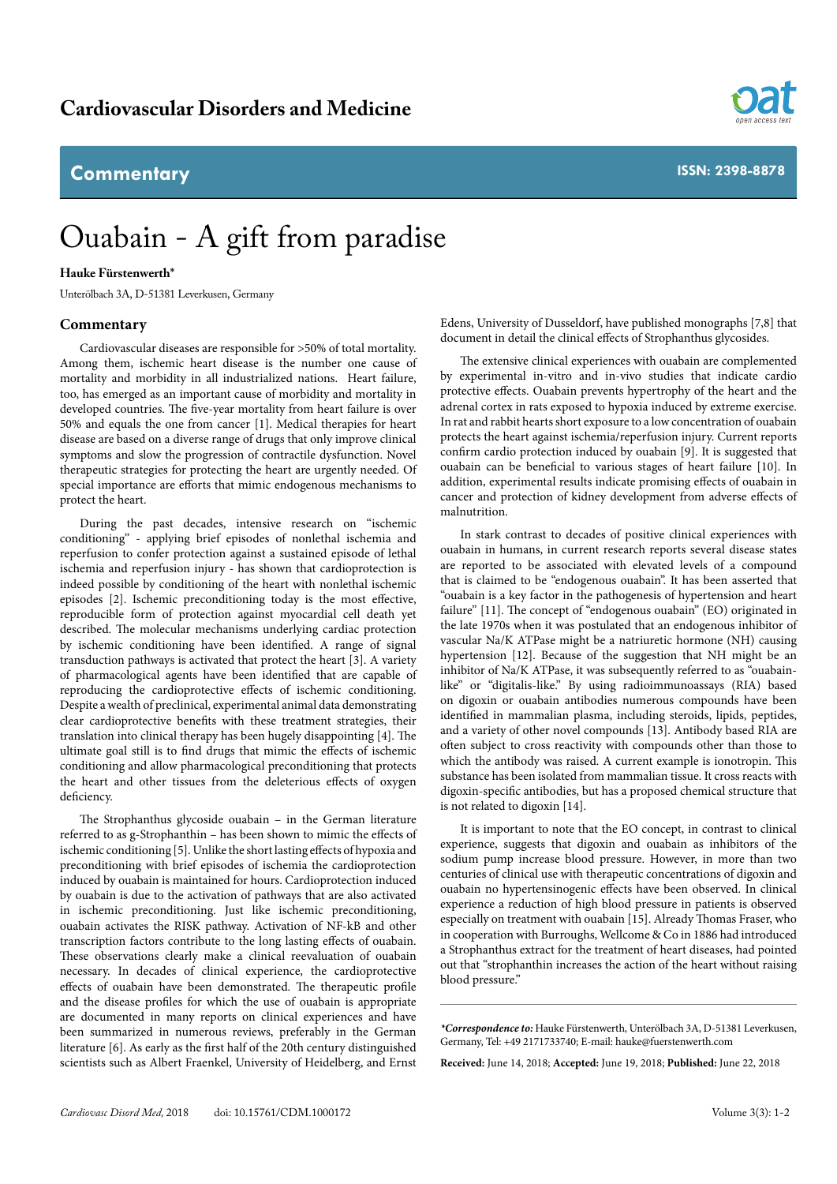## **Commentary**



# Ouabain - A gift from paradise

### **Hauke Fürstenwerth\***

Unterölbach 3A, D-51381 Leverkusen, Germany

#### **Commentary**

Cardiovascular diseases are responsible for >50% of total mortality. Among them, ischemic heart disease is the number one cause of mortality and morbidity in all industrialized nations. Heart failure, too, has emerged as an important cause of morbidity and mortality in developed countries. The five-year mortality from heart failure is over 50% and equals the one from cancer [1]. Medical therapies for heart disease are based on a diverse range of drugs that only improve clinical symptoms and slow the progression of contractile dysfunction. Novel therapeutic strategies for protecting the heart are urgently needed. Of special importance are efforts that mimic endogenous mechanisms to protect the heart.

During the past decades, intensive research on ''ischemic conditioning'' - applying brief episodes of nonlethal ischemia and reperfusion to confer protection against a sustained episode of lethal ischemia and reperfusion injury - has shown that cardioprotection is indeed possible by conditioning of the heart with nonlethal ischemic episodes [2]. Ischemic preconditioning today is the most effective, reproducible form of protection against myocardial cell death yet described. The molecular mechanisms underlying cardiac protection by ischemic conditioning have been identified. A range of signal transduction pathways is activated that protect the heart [3]. A variety of pharmacological agents have been identified that are capable of reproducing the cardioprotective effects of ischemic conditioning. Despite a wealth of preclinical, experimental animal data demonstrating clear cardioprotective benefits with these treatment strategies, their translation into clinical therapy has been hugely disappointing [4]. The ultimate goal still is to find drugs that mimic the effects of ischemic conditioning and allow pharmacological preconditioning that protects the heart and other tissues from the deleterious effects of oxygen deficiency.

The Strophanthus glycoside ouabain – in the German literature referred to as g-Strophanthin – has been shown to mimic the effects of ischemic conditioning [5]. Unlike the short lasting effects of hypoxia and preconditioning with brief episodes of ischemia the cardioprotection induced by ouabain is maintained for hours. Cardioprotection induced by ouabain is due to the activation of pathways that are also activated in ischemic preconditioning. Just like ischemic preconditioning, ouabain activates the RISK pathway. Activation of NF-kB and other transcription factors contribute to the long lasting effects of ouabain. These observations clearly make a clinical reevaluation of ouabain necessary. In decades of clinical experience, the cardioprotective effects of ouabain have been demonstrated. The therapeutic profile and the disease profiles for which the use of ouabain is appropriate are documented in many reports on clinical experiences and have been summarized in numerous reviews, preferably in the German literature [6]. As early as the first half of the 20th century distinguished scientists such as Albert Fraenkel, University of Heidelberg, and Ernst Edens, University of Dusseldorf, have published monographs [7,8] that document in detail the clinical effects of Strophanthus glycosides.

The extensive clinical experiences with ouabain are complemented by experimental in-vitro and in-vivo studies that indicate cardio protective effects. Ouabain prevents hypertrophy of the heart and the adrenal cortex in rats exposed to hypoxia induced by extreme exercise. In rat and rabbit hearts short exposure to a low concentration of ouabain protects the heart against ischemia/reperfusion injury. Current reports confirm cardio protection induced by ouabain [9]. It is suggested that ouabain can be beneficial to various stages of heart failure [10]. In addition, experimental results indicate promising effects of ouabain in cancer and protection of kidney development from adverse effects of malnutrition.

In stark contrast to decades of positive clinical experiences with ouabain in humans, in current research reports several disease states are reported to be associated with elevated levels of a compound that is claimed to be "endogenous ouabain". It has been asserted that "ouabain is a key factor in the pathogenesis of hypertension and heart failure" [11]. The concept of "endogenous ouabain" (EO) originated in the late 1970s when it was postulated that an endogenous inhibitor of vascular Na/K ATPase might be a natriuretic hormone (NH) causing hypertension [12]. Because of the suggestion that NH might be an inhibitor of Na/K ATPase, it was subsequently referred to as "ouabainlike" or "digitalis-like." By using radioimmunoassays (RIA) based on digoxin or ouabain antibodies numerous compounds have been identified in mammalian plasma, including steroids, lipids, peptides, and a variety of other novel compounds [13]. Antibody based RIA are often subject to cross reactivity with compounds other than those to which the antibody was raised. A current example is ionotropin. This substance has been isolated from mammalian tissue. It cross reacts with digoxin-specific antibodies, but has a proposed chemical structure that is not related to digoxin [14].

It is important to note that the EO concept, in contrast to clinical experience, suggests that digoxin and ouabain as inhibitors of the sodium pump increase blood pressure. However, in more than two centuries of clinical use with therapeutic concentrations of digoxin and ouabain no hypertensinogenic effects have been observed. In clinical experience a reduction of high blood pressure in patients is observed especially on treatment with ouabain [15]. Already Thomas Fraser, who in cooperation with Burroughs, Wellcome & Co in 1886 had introduced a Strophanthus extract for the treatment of heart diseases, had pointed out that "strophanthin increases the action of the heart without raising blood pressure."

*\*Correspondence to:* Hauke Fürstenwerth, Unterölbach 3A, D-51381 Leverkusen, Germany, Tel: +49 2171733740; E-mail: hauke@fuerstenwerth.com

**Received:** June 14, 2018; **Accepted:** June 19, 2018; **Published:** June 22, 2018